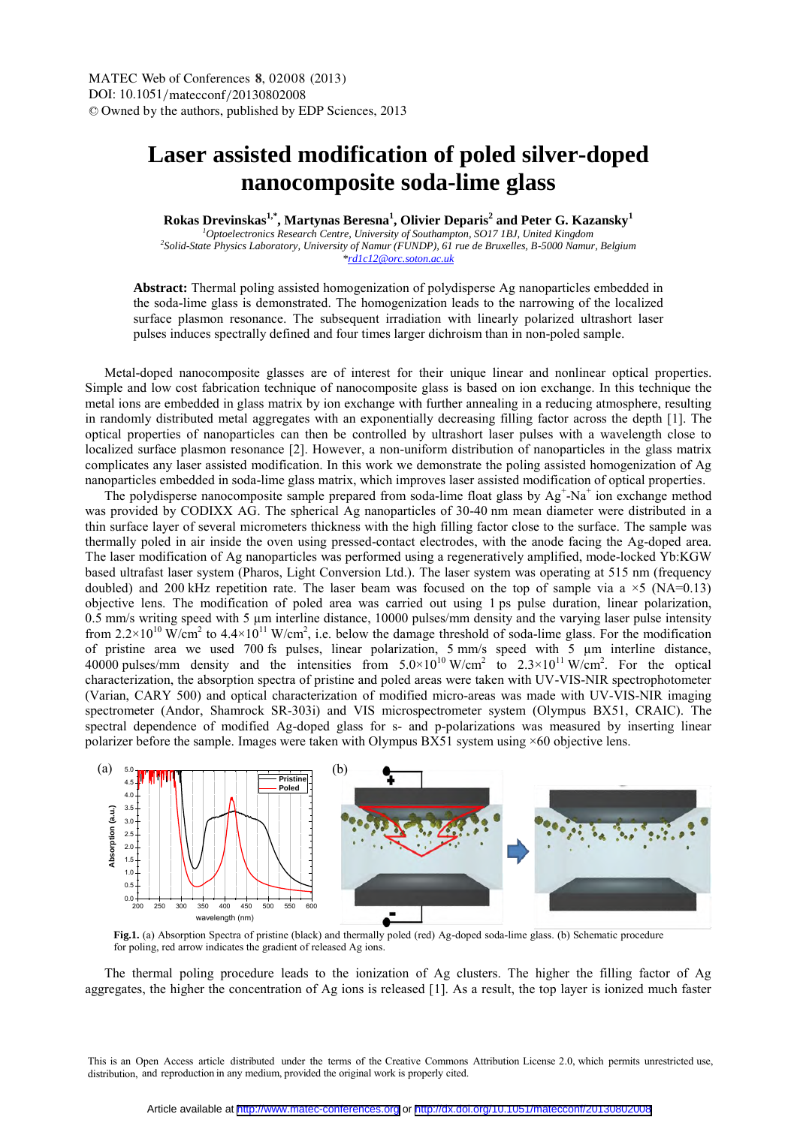## **Laser assisted modification of poled silver-doped nanocomposite soda-lime glass**

**Rokas Drevinskas1,\*, Martynas Beresna<sup>1</sup> , Olivier Deparis<sup>2</sup> and Peter G. Kazansky<sup>1</sup>**

*<sup>1</sup>Optoelectronics Research Centre, University of Southampton, SO17 1BJ, United Kingdom 2 Solid-State Physics Laboratory, University of Namur (FUNDP), 61 rue de Bruxelles, B-5000 Namur, Belgium \*rd1c12@orc.soton.ac.uk*

**Abstract:** Thermal poling assisted homogenization of polydisperse Ag nanoparticles embedded in the soda-lime glass is demonstrated. The homogenization leads to the narrowing of the localized surface plasmon resonance. The subsequent irradiation with linearly polarized ultrashort laser pulses induces spectrally defined and four times larger dichroism than in non-poled sample.

Metal-doped nanocomposite glasses are of interest for their unique linear and nonlinear optical properties. Simple and low cost fabrication technique of nanocomposite glass is based on ion exchange. In this technique the metal ions are embedded in glass matrix by ion exchange with further annealing in a reducing atmosphere, resulting in randomly distributed metal aggregates with an exponentially decreasing filling factor across the depth [1]. The optical properties of nanoparticles can then be controlled by ultrashort laser pulses with a wavelength close to localized surface plasmon resonance [2]. However, a non-uniform distribution of nanoparticles in the glass matrix complicates any laser assisted modification. In this work we demonstrate the poling assisted homogenization of Ag nanoparticles embedded in soda-lime glass matrix, which improves laser assisted modification of optical properties.

The polydisperse nanocomposite sample prepared from soda-lime float glass by  $Ag^+$ -Na<sup>+</sup> ion exchange method was provided by CODIXX AG. The spherical Ag nanoparticles of 30-40 nm mean diameter were distributed in a thin surface layer of several micrometers thickness with the high filling factor close to the surface. The sample was thermally poled in air inside the oven using pressed-contact electrodes, with the anode facing the Ag-doped area. The laser modification of Ag nanoparticles was performed using a regeneratively amplified, mode-locked Yb:KGW based ultrafast laser system (Pharos, Light Conversion Ltd.). The laser system was operating at 515 nm (frequency doubled) and 200 kHz repetition rate. The laser beam was focused on the top of sample via a  $\times$  5 (NA=0.13) objective lens. The modification of poled area was carried out using 1 ps pulse duration, linear polarization, 0.5 mm/s writing speed with 5  $\mu$ m interline distance, 10000 pulses/mm density and the varying laser pulse intensity from  $2.2 \times 10^{10}$  W/cm<sup>2</sup> to  $4.4 \times 10^{11}$  W/cm<sup>2</sup>, i.e. below the damage threshold of soda-lime glass. For the modification of pristine area we used 700 fs pulses, linear polarization, 5 mm/s speed with 5 µm interline distance, 40000 pulses/mm density and the intensities from  $5.0 \times 10^{10}$  W/cm<sup>2</sup> to  $2.3 \times 10^{11}$  W/cm<sup>2</sup>. For the optical characterization, the absorption spectra of pristine and poled areas were taken with UV-VIS-NIR spectrophotometer (Varian, CARY 500) and optical characterization of modified micro-areas was made with UV-VIS-NIR imaging spectrometer (Andor, Shamrock SR-303i) and VIS microspectrometer system (Olympus BX51, CRAIC). The spectral dependence of modified Ag-doped glass for s- and p-polarizations was measured by inserting linear polarizer before the sample. Images were taken with Olympus BX51 system using ×60 objective lens.



**Fig.1.** (a) Absorption Spectra of pristine (black) and thermally poled (red) Ag-doped soda-lime glass. (b) Schematic procedure for poling, red arrow indicates the gradient of released Ag ions.

The thermal poling procedure leads to the ionization of Ag clusters. The higher the filling factor of Ag aggregates, the higher the concentration of Ag ions is released [1]. As a result, the top layer is ionized much faster

This is an Open Access article distributed under the terms of the Creative Commons Attribution License 2.0, which permits unrestricted use, distribution, and reproduction in any medium, provided the original work is properly cited.